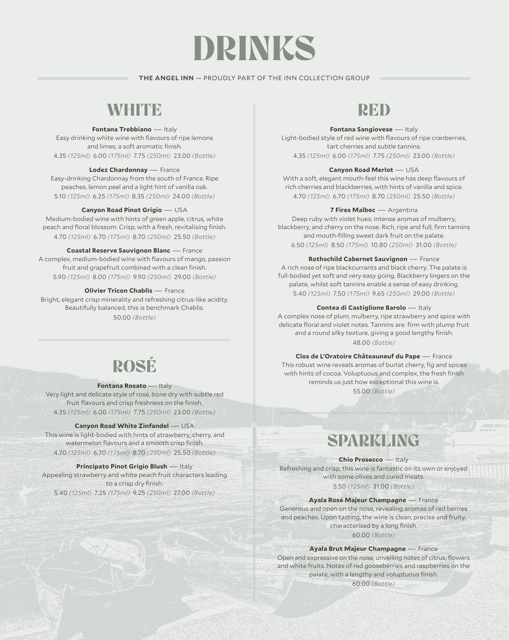# DRINKS

### **THE ANGEL INN** — PROUDLY PART OF THE INN COLLECTION GROUP

### WHITE

### **Fontana Trebbiano** — Italy

Easy drinking white wine with flavours of ripe lemons and limes; a soft aromatic finish. 4.35 *(125ml)* 6.00 *(175ml)* 7.75 *(250ml)* 23.00 *(Bottle)* 

### **Lodez Chardonnay** — France

Easy-drinking Chardonnay from the south of France. Ripe peaches, lemon peel and a light hint of vanilla oak. 5.10 *(125ml)* 6.25 *(175ml)* 8.35 *(250ml)* 24.00 *(Bottle)*

### **Canyon Road Pinot Grigio** — USA

Medium-bodied wine with hints of green apple, citrus, white peach and floral blossom. Crisp, with a fresh, revitalising finish. 4.70 *(125ml)* 6.70 *(175ml)* 8.70 *(250ml)* 25.50 *(Bottle)*

### **Coastal Reserve Sauvignon Blanc** — France

A complex, medium-bodied wine with flavours of mango, passion fruit and grapefruit combined with a clean finish. 5.90 *(125ml)* 8.00 *(175ml)* 9.90 *(250ml)* 29.00 *(Bottle)*

### **Olivier Tricon Chablis — France**

Bright, elegant crisp minerality and refreshing citrus-like acidity. Beautifully balanced, this is benchmark Chablis. 50.00 *(Bottle)*

# ROSÉ

#### **Fontana Rosato** — Italy

Very light and delicate style of rosé, bone dry with subtle red fruit flavours and crisp freshness on the finish. 4.35 *(125ml)* 6.00 *(175ml)* 7.75 *(250ml)* 23.00 *(Bottle)* 

### **Canyon Road White Zinfandel — USA**

This wine is light-bodied with hints of strawberry, cherry, and watermelon flavours and a smooth crisp finish. 4.70 *(125ml)* 6.70 *(175ml)* 8.70 *(250ml)* 25.50 *(Bottle)*

#### **Principato Pinot Grigio Blush — Italy**

Appealing strawberry and white peach fruit characters leading to a crisp dry finish.

5.40 *(125ml)* 7.25 *(175ml)* 9.25 *(250ml)* 27.00 *(Bottle)* 

## RED

### **Fontana Sangiovese** — Italy

Light-bodied style of red wine with flavours of ripe cranberries, tart cherries and subtle tannins. 4.35 *(125ml)* 6.00 *(175ml)* 7.75 *(250ml)* 23.00 *(Bottle)* 

### **Canyon Road Merlot** — USA

With a soft, elegant mouth-feel this wine has deep flavours of rich cherries and blackberries, with hints of vanilla and spice. 4.70 *(125ml)* 6.70 *(175ml)* 8.70 *(250ml)* 25.50 *(Bottle)*

### **7 Fires Malbec** — Argentina

Deep ruby with violet hues; intense aromas of mulberry, blackberry, and cherry on the nose. Rich, ripe and full, firm tannins and mouth-filling sweet dark fruit on the palate. 6.50 *(125ml)* 8.50 *(175ml)* 10.80 *(250ml)* 31.00 *(Bottle)*

### **Rothschild Cabernet Sauvignon** — France

A rich nose of ripe blackcurrants and black cherry. The palate is full-bodied yet soft and very easy going. Blackberry lingers on the palate, whilst soft tannins enable a sense of easy drinking. 5.40 *(125ml)* 7.50 *(175ml)* 9.65 *(250ml)* 29.00 *(Bottle)* 

### **Contea di Castiglione Barolo** — Italy

A complex nose of plum, mulberry, ripe strawberry and spice with delicate floral and violet notes. Tannins are firm with plump fruit and a round silky texture, giving a good lengthy finish. 48.00 *(Bottle)*

**Clos de L'Oratoire Châteauneuf du Pape** — France This robust wine reveals aromas of burlat cherry, fig and spices with hints of cocoa. Voluptuous and complex, the fresh finish reminds us just how exceptional this wine is. 55.00 *(Bottle)*

# SPARKLING

**Chio Prosecco** — Italy Refreshing and crisp, this wine is fantastic on its own or enjoyed with some olives and cured meats. 5.50 *(125ml)* 31.00 *(Bottle)* 

**Ayala Rosé Majeur Champagne** — France Generous and open on the nose, revealing aromas of red berries and peaches. Upon tasting, the wine is clean, precise and fruity, characterised by a long finish.

60.00 *(Bottle)*

### **Ayala Brut Majeur Champagne** — France

Open and expressive on the nose, unveiling notes of citrus, flowers and white fruits. Notes of red gooseberries and raspberries on the palate, with a lengthy and voluptuous finish.

60.00 *(Bottle)*